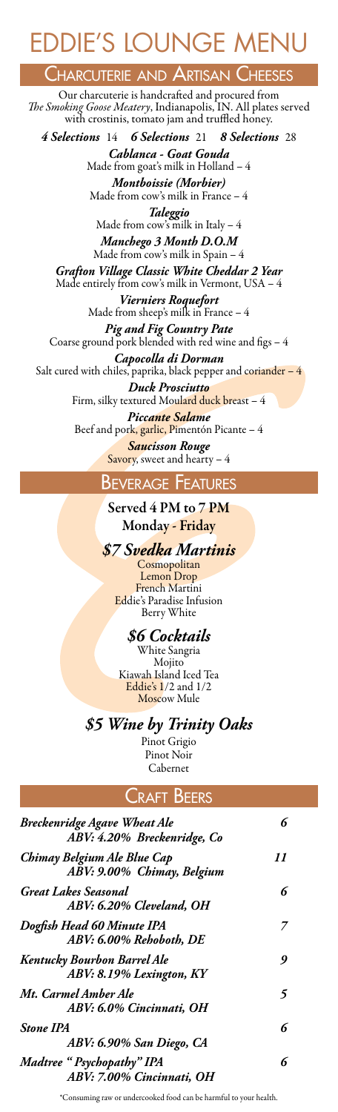# EDDIE'S LOUNGE MENU

#### **CHARCUTERIE AND ARTISAN CHEESES**

Our charcuterie is handcrafted and procured from *The Smoking Goose Meatery*, Indianapolis, IN. All plates served with crostinis, tomato jam and truffled honey.

*4 Selections* 14 *6 Selections* 21 *8 Selections* 28 *Cablanca - Goat Gouda* Made from goat's milk in Holland – 4 *Montboissie (Morbier)* Made from cow's milk in France – 4

> *Taleggio* Made from cow's milk in Italy  $-4$ *Manchego 3 Month D.O.M* Made from cow's milk in Spain – 4

*Grafton Village Classic White Cheddar 2 Year* Made entirely from cow's milk in Vermont, USA – 4

*Vierniers Roquefort* Made from sheep's milk in France – 4 *Pig and Fig Country Pate*

Coarse ground pork blended with red wine and figs – 4 *Capocolla di Dorman*

Salt cured with chiles, paprika, black pepper and coriander  $-4$ *Duck Prosciutto*

Firm, silky textured Moulard duck breast - 4 *Piccante Salame*

Beef and pork, garlic, Pimentón Picante – 4

*Saucisson Rouge* Savory, sweet and hearty – 4

Beverage Features

Served 4 PM to 7 PM Monday - Friday

## *\$7 Svedka Martinis*

Cosmopolitan Lemon Drop French Martini Eddie's Paradise Infusion Berry White

# *\$6 Cocktails*

White Sangria Mojito Kiawah Island Iced Tea Eddie's 1/2 and 1/2 Moscow Mule

# *\$5 Wine by Trinity Oaks*

Pinot Grigio Pinot Noir Cabernet

#### **CRAFT BEERS**

| <b>Breckenridge Agave Wheat Ale</b><br>ABV: 4.20% Breckenridge, Co | 6  |
|--------------------------------------------------------------------|----|
| Chimay Belgium Ale Blue Cap<br>ABV: 9.00% Chimay, Belgium          | 11 |
| <b>Great Lakes Seasonal</b><br>ABV: 6.20% Cleveland, OH            | 6  |
| Dogfish Head 60 Minute IPA<br>ABV: 6.00% Rehoboth, DE              | 7  |
| Kentucky Bourbon Barrel Ale<br>ABV: 8.19% Lexington, KY            | 9  |
| Mt. Carmel Amber Ale<br>ABV: 6.0% Cincinnati, OH                   | 5  |
| <b>Stone IPA</b><br>ABV: 6.90% San Diego, CA                       | 6  |
| Madtree "Psychopathy" IPA<br>ABV: 7.00% Cincinnati, OH             | 6  |

\*Consuming raw or undercooked food can be harmful to your health.